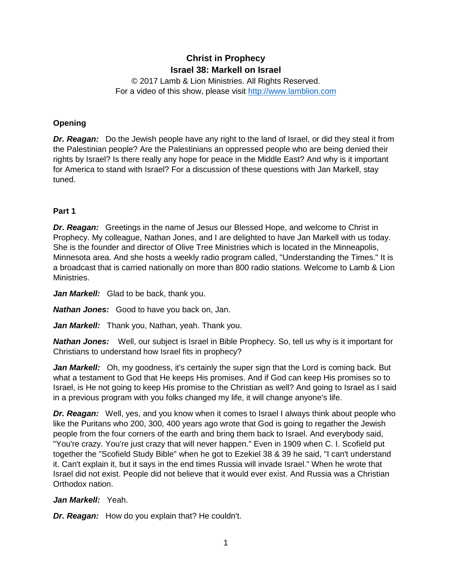# **Christ in Prophecy Israel 38: Markell on Israel**

© 2017 Lamb & Lion Ministries. All Rights Reserved. For a video of this show, please visit [http://www.lamblion.com](http://www.lamblion.com/)

## **Opening**

*Dr. Reagan:* Do the Jewish people have any right to the land of Israel, or did they steal it from the Palestinian people? Are the Palestinians an oppressed people who are being denied their rights by Israel? Is there really any hope for peace in the Middle East? And why is it important for America to stand with Israel? For a discussion of these questions with Jan Markell, stay tuned.

### **Part 1**

*Dr. Reagan:* Greetings in the name of Jesus our Blessed Hope, and welcome to Christ in Prophecy. My colleague, Nathan Jones, and I are delighted to have Jan Markell with us today. She is the founder and director of Olive Tree Ministries which is located in the Minneapolis, Minnesota area. And she hosts a weekly radio program called, "Understanding the Times." It is a broadcast that is carried nationally on more than 800 radio stations. Welcome to Lamb & Lion Ministries.

Jan Markell: Glad to be back, thank you.

*Nathan Jones:* Good to have you back on, Jan.

*Jan Markell:* Thank you, Nathan, yeah. Thank you.

*Nathan Jones:* Well, our subject is Israel in Bible Prophecy. So, tell us why is it important for Christians to understand how Israel fits in prophecy?

*Jan Markell:* Oh, my goodness, it's certainly the super sign that the Lord is coming back. But what a testament to God that He keeps His promises. And if God can keep His promises so to Israel, is He not going to keep His promise to the Christian as well? And going to Israel as I said in a previous program with you folks changed my life, it will change anyone's life.

**Dr. Reagan:** Well, yes, and you know when it comes to Israel I always think about people who like the Puritans who 200, 300, 400 years ago wrote that God is going to regather the Jewish people from the four corners of the earth and bring them back to Israel. And everybody said, "You're crazy. You're just crazy that will never happen." Even in 1909 when C. I. Scofield put together the "Scofield Study Bible" when he got to Ezekiel 38 & 39 he said, "I can't understand it. Can't explain it, but it says in the end times Russia will invade Israel." When he wrote that Israel did not exist. People did not believe that it would ever exist. And Russia was a Christian Orthodox nation.

#### *Jan Markell:* Yeah.

*Dr. Reagan:* How do you explain that? He couldn't.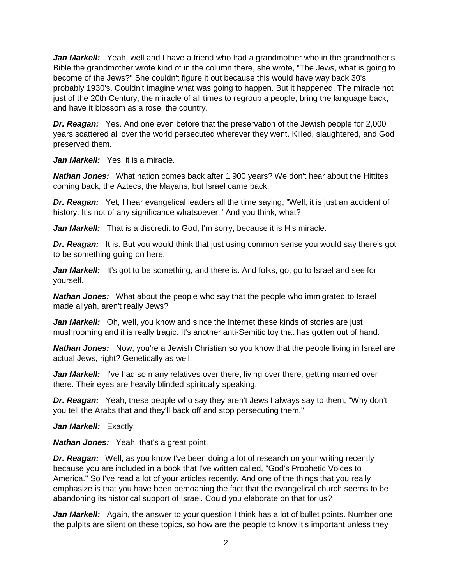*Jan Markell:* Yeah, well and I have a friend who had a grandmother who in the grandmother's Bible the grandmother wrote kind of in the column there, she wrote, "The Jews, what is going to become of the Jews?" She couldn't figure it out because this would have way back 30's probably 1930's. Couldn't imagine what was going to happen. But it happened. The miracle not just of the 20th Century, the miracle of all times to regroup a people, bring the language back, and have it blossom as a rose, the country.

*Dr. Reagan:* Yes. And one even before that the preservation of the Jewish people for 2,000 years scattered all over the world persecuted wherever they went. Killed, slaughtered, and God preserved them.

Jan Markell: Yes, it is a miracle.

*Nathan Jones:* What nation comes back after 1,900 years? We don't hear about the Hittites coming back, the Aztecs, the Mayans, but Israel came back.

**Dr. Reagan:** Yet, I hear evangelical leaders all the time saying, "Well, it is just an accident of history. It's not of any significance whatsoever." And you think, what?

Jan Markell: That is a discredit to God, I'm sorry, because it is His miracle.

**Dr. Reagan:** It is. But you would think that just using common sense you would say there's got to be something going on here.

*Jan Markell:* It's got to be something, and there is. And folks, go, go to Israel and see for yourself.

*Nathan Jones:* What about the people who say that the people who immigrated to Israel made aliyah, aren't really Jews?

*Jan Markell:* Oh, well, you know and since the Internet these kinds of stories are just mushrooming and it is really tragic. It's another anti-Semitic toy that has gotten out of hand.

**Nathan Jones:** Now, you're a Jewish Christian so you know that the people living in Israel are actual Jews, right? Genetically as well.

*Jan Markell:* I've had so many relatives over there, living over there, getting married over there. Their eyes are heavily blinded spiritually speaking.

*Dr. Reagan:* Yeah, these people who say they aren't Jews I always say to them, "Why don't you tell the Arabs that and they'll back off and stop persecuting them."

Jan Markell: Exactly.

*Nathan Jones:* Yeah, that's a great point.

**Dr. Reagan:** Well, as you know I've been doing a lot of research on your writing recently because you are included in a book that I've written called, "God's Prophetic Voices to America." So I've read a lot of your articles recently. And one of the things that you really emphasize is that you have been bemoaning the fact that the evangelical church seems to be abandoning its historical support of Israel. Could you elaborate on that for us?

**Jan Markell:** Again, the answer to your question I think has a lot of bullet points. Number one the pulpits are silent on these topics, so how are the people to know it's important unless they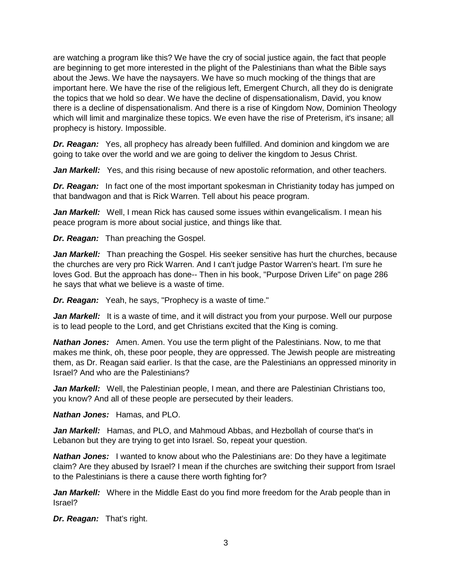are watching a program like this? We have the cry of social justice again, the fact that people are beginning to get more interested in the plight of the Palestinians than what the Bible says about the Jews. We have the naysayers. We have so much mocking of the things that are important here. We have the rise of the religious left, Emergent Church, all they do is denigrate the topics that we hold so dear. We have the decline of dispensationalism, David, you know there is a decline of dispensationalism. And there is a rise of Kingdom Now, Dominion Theology which will limit and marginalize these topics. We even have the rise of Preterism, it's insane; all prophecy is history. Impossible.

*Dr. Reagan:* Yes, all prophecy has already been fulfilled. And dominion and kingdom we are going to take over the world and we are going to deliver the kingdom to Jesus Christ.

Jan Markell: Yes, and this rising because of new apostolic reformation, and other teachers.

**Dr. Reagan:** In fact one of the most important spokesman in Christianity today has jumped on that bandwagon and that is Rick Warren. Tell about his peace program.

Jan Markell: Well, I mean Rick has caused some issues within evangelicalism. I mean his peace program is more about social justice, and things like that.

*Dr. Reagan:* Than preaching the Gospel.

*Jan Markell:* Than preaching the Gospel. His seeker sensitive has hurt the churches, because the churches are very pro Rick Warren. And I can't judge Pastor Warren's heart. I'm sure he loves God. But the approach has done-- Then in his book, "Purpose Driven Life" on page 286 he says that what we believe is a waste of time.

*Dr. Reagan:* Yeah, he says, "Prophecy is a waste of time."

Jan Markell: It is a waste of time, and it will distract you from your purpose. Well our purpose is to lead people to the Lord, and get Christians excited that the King is coming.

*Nathan Jones:* Amen. Amen. You use the term plight of the Palestinians. Now, to me that makes me think, oh, these poor people, they are oppressed. The Jewish people are mistreating them, as Dr. Reagan said earlier. Is that the case, are the Palestinians an oppressed minority in Israel? And who are the Palestinians?

*Jan Markell:* Well, the Palestinian people, I mean, and there are Palestinian Christians too, you know? And all of these people are persecuted by their leaders.

*Nathan Jones:* Hamas, and PLO.

*Jan Markell:* Hamas, and PLO, and Mahmoud Abbas, and Hezbollah of course that's in Lebanon but they are trying to get into Israel. So, repeat your question.

*Nathan Jones:* I wanted to know about who the Palestinians are: Do they have a legitimate claim? Are they abused by Israel? I mean if the churches are switching their support from Israel to the Palestinians is there a cause there worth fighting for?

*Jan Markell:* Where in the Middle East do you find more freedom for the Arab people than in Israel?

*Dr. Reagan:* That's right.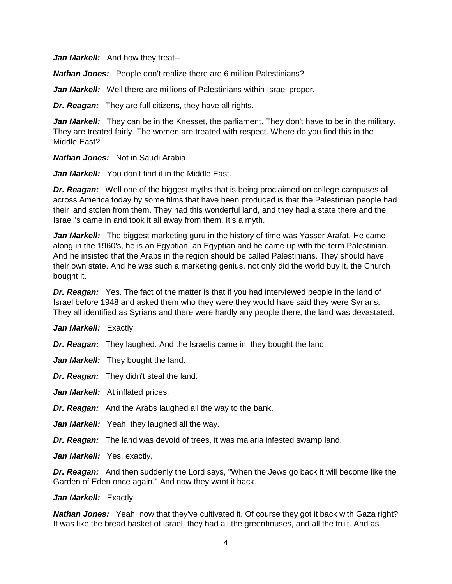*Jan Markell:* And how they treat--

*Nathan Jones:* People don't realize there are 6 million Palestinians?

*Jan Markell:* Well there are millions of Palestinians within Israel proper.

*Dr. Reagan:* They are full citizens, they have all rights.

**Jan Markell:** They can be in the Knesset, the parliament. They don't have to be in the military. They are treated fairly. The women are treated with respect. Where do you find this in the Middle East?

*Nathan Jones:* Not in Saudi Arabia.

*Jan Markell:* You don't find it in the Middle East.

*Dr. Reagan:* Well one of the biggest myths that is being proclaimed on college campuses all across America today by some films that have been produced is that the Palestinian people had their land stolen from them. They had this wonderful land, and they had a state there and the Israeli's came in and took it all away from them. It's a myth.

*Jan Markell:* The biggest marketing guru in the history of time was Yasser Arafat. He came along in the 1960's, he is an Egyptian, an Egyptian and he came up with the term Palestinian. And he insisted that the Arabs in the region should be called Palestinians. They should have their own state. And he was such a marketing genius, not only did the world buy it, the Church bought it.

**Dr. Reagan:** Yes. The fact of the matter is that if you had interviewed people in the land of Israel before 1948 and asked them who they were they would have said they were Syrians. They all identified as Syrians and there were hardly any people there, the land was devastated.

Jan Markell: Exactly.

*Dr. Reagan:* They laughed. And the Israelis came in, they bought the land.

*Jan Markell:* They bought the land.

*Dr. Reagan:* They didn't steal the land.

Jan Markell: At inflated prices.

*Dr. Reagan:* And the Arabs laughed all the way to the bank.

*Jan Markell:* Yeah, they laughed all the way.

*Dr. Reagan:* The land was devoid of trees, it was malaria infested swamp land.

Jan Markell: Yes, exactly.

*Dr. Reagan:* And then suddenly the Lord says, "When the Jews go back it will become like the Garden of Eden once again." And now they want it back.

*Jan Markell:* Exactly.

*Nathan Jones:* Yeah, now that they've cultivated it. Of course they got it back with Gaza right? It was like the bread basket of Israel, they had all the greenhouses, and all the fruit. And as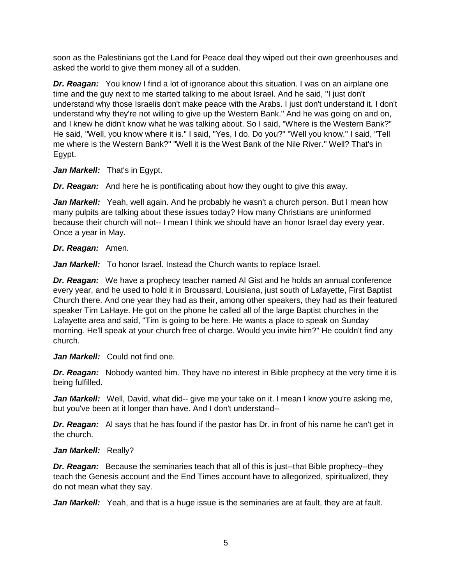soon as the Palestinians got the Land for Peace deal they wiped out their own greenhouses and asked the world to give them money all of a sudden.

*Dr. Reagan:* You know I find a lot of ignorance about this situation. I was on an airplane one time and the guy next to me started talking to me about Israel. And he said, "I just don't understand why those Israelis don't make peace with the Arabs. I just don't understand it. I don't understand why they're not willing to give up the Western Bank." And he was going on and on, and I knew he didn't know what he was talking about. So I said, "Where is the Western Bank?" He said, "Well, you know where it is." I said, "Yes, I do. Do you?" "Well you know." I said, "Tell me where is the Western Bank?" "Well it is the West Bank of the Nile River." Well? That's in Egypt.

Jan Markell: That's in Egypt.

*Dr. Reagan:* And here he is pontificating about how they ought to give this away.

Jan Markell: Yeah, well again. And he probably he wasn't a church person. But I mean how many pulpits are talking about these issues today? How many Christians are uninformed because their church will not-- I mean I think we should have an honor Israel day every year. Once a year in May.

### *Dr. Reagan:* Amen.

*Jan Markell:* To honor Israel. Instead the Church wants to replace Israel.

*Dr. Reagan:* We have a prophecy teacher named Al Gist and he holds an annual conference every year, and he used to hold it in Broussard, Louisiana, just south of Lafayette, First Baptist Church there. And one year they had as their, among other speakers, they had as their featured speaker Tim LaHaye. He got on the phone he called all of the large Baptist churches in the Lafayette area and said, "Tim is going to be here. He wants a place to speak on Sunday morning. He'll speak at your church free of charge. Would you invite him?" He couldn't find any church.

*Jan Markell:* Could not find one.

**Dr. Reagan:** Nobody wanted him. They have no interest in Bible prophecy at the very time it is being fulfilled.

*Jan Markell:* Well, David, what did-- give me your take on it. I mean I know you're asking me, but you've been at it longer than have. And I don't understand--

*Dr. Reagan:* Al says that he has found if the pastor has Dr. in front of his name he can't get in the church.

#### Jan Markell: Really?

*Dr. Reagan:* Because the seminaries teach that all of this is just--that Bible prophecy--they teach the Genesis account and the End Times account have to allegorized, spiritualized, they do not mean what they say.

Jan Markell: Yeah, and that is a huge issue is the seminaries are at fault, they are at fault.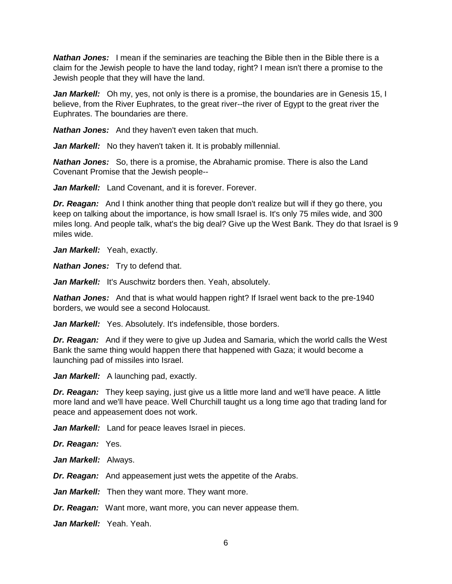*Nathan Jones:* I mean if the seminaries are teaching the Bible then in the Bible there is a claim for the Jewish people to have the land today, right? I mean isn't there a promise to the Jewish people that they will have the land.

*Jan Markell:* Oh my, yes, not only is there is a promise, the boundaries are in Genesis 15, I believe, from the River Euphrates, to the great river--the river of Egypt to the great river the Euphrates. The boundaries are there.

*Nathan Jones:* And they haven't even taken that much.

Jan Markell: No they haven't taken it. It is probably millennial.

*Nathan Jones:* So, there is a promise, the Abrahamic promise. There is also the Land Covenant Promise that the Jewish people--

Jan Markell: Land Covenant, and it is forever. Forever.

*Dr. Reagan:* And I think another thing that people don't realize but will if they go there, you keep on talking about the importance, is how small Israel is. It's only 75 miles wide, and 300 miles long. And people talk, what's the big deal? Give up the West Bank. They do that Israel is 9 miles wide.

Jan Markell: Yeah, exactly.

*Nathan Jones:* Try to defend that.

Jan Markell: It's Auschwitz borders then. Yeah, absolutely.

*Nathan Jones:* And that is what would happen right? If Israel went back to the pre-1940 borders, we would see a second Holocaust.

Jan Markell: Yes. Absolutely. It's indefensible, those borders.

*Dr. Reagan:* And if they were to give up Judea and Samaria, which the world calls the West Bank the same thing would happen there that happened with Gaza; it would become a launching pad of missiles into Israel.

*Jan Markell:* A launching pad, exactly.

*Dr. Reagan:* They keep saying, just give us a little more land and we'll have peace. A little more land and we'll have peace. Well Churchill taught us a long time ago that trading land for peace and appeasement does not work.

Jan Markell: Land for peace leaves Israel in pieces.

*Dr. Reagan:* Yes.

*Jan Markell:* Always.

*Dr. Reagan:* And appeasement just wets the appetite of the Arabs.

*Jan Markell:* Then they want more. They want more.

*Dr. Reagan:* Want more, want more, you can never appease them.

*Jan Markell:* Yeah. Yeah.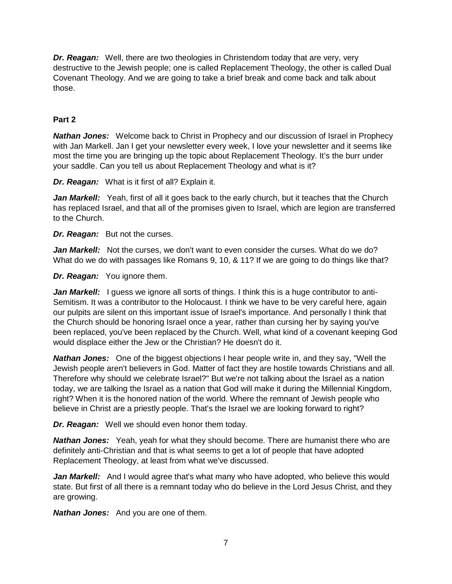*Dr. Reagan:* Well, there are two theologies in Christendom today that are very, very destructive to the Jewish people; one is called Replacement Theology, the other is called Dual Covenant Theology. And we are going to take a brief break and come back and talk about those.

## **Part 2**

*Nathan Jones:* Welcome back to Christ in Prophecy and our discussion of Israel in Prophecy with Jan Markell. Jan I get your newsletter every week, I love your newsletter and it seems like most the time you are bringing up the topic about Replacement Theology. It's the burr under your saddle. Can you tell us about Replacement Theology and what is it?

*Dr. Reagan:* What is it first of all? Explain it.

**Jan Markell:** Yeah, first of all it goes back to the early church, but it teaches that the Church has replaced Israel, and that all of the promises given to Israel, which are legion are transferred to the Church.

*Dr. Reagan:* But not the curses.

**Jan Markell:** Not the curses, we don't want to even consider the curses. What do we do? What do we do with passages like Romans 9, 10, & 11? If we are going to do things like that?

*Dr. Reagan:* You ignore them.

Jan Markell: I guess we ignore all sorts of things. I think this is a huge contributor to anti-Semitism. It was a contributor to the Holocaust. I think we have to be very careful here, again our pulpits are silent on this important issue of Israel's importance. And personally I think that the Church should be honoring Israel once a year, rather than cursing her by saying you've been replaced, you've been replaced by the Church. Well, what kind of a covenant keeping God would displace either the Jew or the Christian? He doesn't do it.

*Nathan Jones:* One of the biggest objections I hear people write in, and they say, "Well the Jewish people aren't believers in God. Matter of fact they are hostile towards Christians and all. Therefore why should we celebrate Israel?" But we're not talking about the Israel as a nation today, we are talking the Israel as a nation that God will make it during the Millennial Kingdom, right? When it is the honored nation of the world. Where the remnant of Jewish people who believe in Christ are a priestly people. That's the Israel we are looking forward to right?

*Dr. Reagan:* Well we should even honor them today.

*Nathan Jones:* Yeah, yeah for what they should become. There are humanist there who are definitely anti-Christian and that is what seems to get a lot of people that have adopted Replacement Theology, at least from what we've discussed.

*Jan Markell:* And I would agree that's what many who have adopted, who believe this would state. But first of all there is a remnant today who do believe in the Lord Jesus Christ, and they are growing.

*Nathan Jones:* And you are one of them.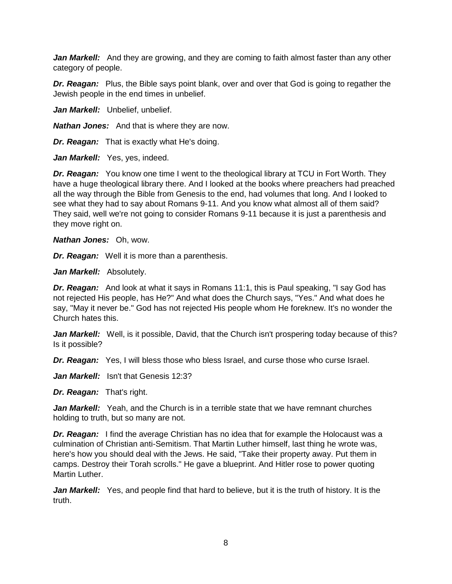*Jan Markell:* And they are growing, and they are coming to faith almost faster than any other category of people.

*Dr. Reagan:* Plus, the Bible says point blank, over and over that God is going to regather the Jewish people in the end times in unbelief.

Jan Markell: Unbelief, unbelief.

*Nathan Jones:* And that is where they are now.

*Dr. Reagan:* That is exactly what He's doing.

Jan Markell: Yes, yes, indeed.

*Dr. Reagan:* You know one time I went to the theological library at TCU in Fort Worth. They have a huge theological library there. And I looked at the books where preachers had preached all the way through the Bible from Genesis to the end, had volumes that long. And I looked to see what they had to say about Romans 9-11. And you know what almost all of them said? They said, well we're not going to consider Romans 9-11 because it is just a parenthesis and they move right on.

*Nathan Jones:* Oh, wow.

*Dr. Reagan:* Well it is more than a parenthesis.

*Jan Markell:* Absolutely.

*Dr. Reagan:* And look at what it says in Romans 11:1, this is Paul speaking, "I say God has not rejected His people, has He?" And what does the Church says, "Yes." And what does he say, "May it never be." God has not rejected His people whom He foreknew. It's no wonder the Church hates this.

**Jan Markell:** Well, is it possible, David, that the Church isn't prospering today because of this? Is it possible?

*Dr. Reagan:* Yes, I will bless those who bless Israel, and curse those who curse Israel.

*Jan Markell:* Isn't that Genesis 12:3?

*Dr. Reagan:* That's right.

*Jan Markell:* Yeah, and the Church is in a terrible state that we have remnant churches holding to truth, but so many are not.

*Dr. Reagan:* I find the average Christian has no idea that for example the Holocaust was a culmination of Christian anti-Semitism. That Martin Luther himself, last thing he wrote was, here's how you should deal with the Jews. He said, "Take their property away. Put them in camps. Destroy their Torah scrolls." He gave a blueprint. And Hitler rose to power quoting Martin Luther.

Jan Markell: Yes, and people find that hard to believe, but it is the truth of history. It is the truth.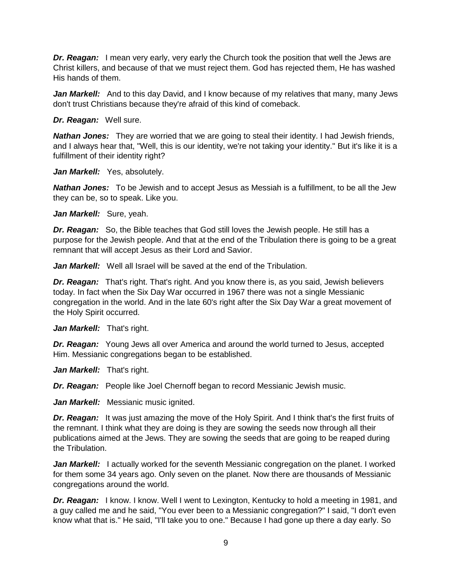*Dr. Reagan:* I mean very early, very early the Church took the position that well the Jews are Christ killers, and because of that we must reject them. God has rejected them, He has washed His hands of them.

*Jan Markell:* And to this day David, and I know because of my relatives that many, many Jews don't trust Christians because they're afraid of this kind of comeback.

*Dr. Reagan:* Well sure.

*Nathan Jones:* They are worried that we are going to steal their identity. I had Jewish friends, and I always hear that, "Well, this is our identity, we're not taking your identity." But it's like it is a fulfillment of their identity right?

Jan Markell: Yes, absolutely.

*Nathan Jones:* To be Jewish and to accept Jesus as Messiah is a fulfillment, to be all the Jew they can be, so to speak. Like you.

*Jan Markell:* Sure, yeah.

*Dr. Reagan:* So, the Bible teaches that God still loves the Jewish people. He still has a purpose for the Jewish people. And that at the end of the Tribulation there is going to be a great remnant that will accept Jesus as their Lord and Savior.

*Jan Markell:* Well all Israel will be saved at the end of the Tribulation.

*Dr. Reagan:* That's right. That's right. And you know there is, as you said, Jewish believers today. In fact when the Six Day War occurred in 1967 there was not a single Messianic congregation in the world. And in the late 60's right after the Six Day War a great movement of the Holy Spirit occurred.

Jan Markell: That's right.

*Dr. Reagan:* Young Jews all over America and around the world turned to Jesus, accepted Him. Messianic congregations began to be established.

Jan Markell: That's right.

*Dr. Reagan:* People like Joel Chernoff began to record Messianic Jewish music.

*Jan Markell:* Messianic music ignited.

*Dr. Reagan:* It was just amazing the move of the Holy Spirit. And I think that's the first fruits of the remnant. I think what they are doing is they are sowing the seeds now through all their publications aimed at the Jews. They are sowing the seeds that are going to be reaped during the Tribulation.

**Jan Markell:** I actually worked for the seventh Messianic congregation on the planet. I worked for them some 34 years ago. Only seven on the planet. Now there are thousands of Messianic congregations around the world.

*Dr. Reagan:* I know. I know. Well I went to Lexington, Kentucky to hold a meeting in 1981, and a guy called me and he said, "You ever been to a Messianic congregation?" I said, "I don't even know what that is." He said, "I'll take you to one." Because I had gone up there a day early. So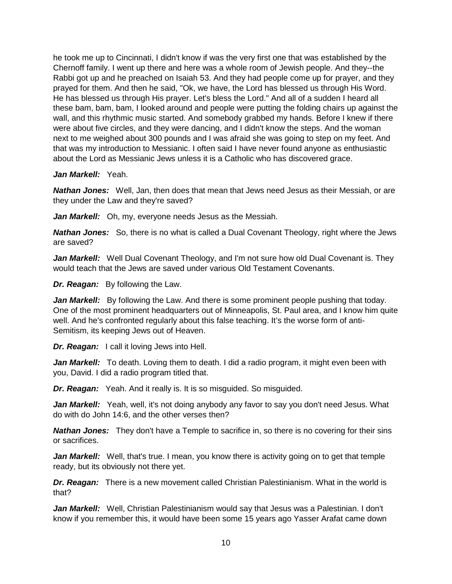he took me up to Cincinnati, I didn't know if was the very first one that was established by the Chernoff family. I went up there and here was a whole room of Jewish people. And they--the Rabbi got up and he preached on Isaiah 53. And they had people come up for prayer, and they prayed for them. And then he said, "Ok, we have, the Lord has blessed us through His Word. He has blessed us through His prayer. Let's bless the Lord." And all of a sudden I heard all these bam, bam, bam, I looked around and people were putting the folding chairs up against the wall, and this rhythmic music started. And somebody grabbed my hands. Before I knew if there were about five circles, and they were dancing, and I didn't know the steps. And the woman next to me weighed about 300 pounds and I was afraid she was going to step on my feet. And that was my introduction to Messianic. I often said I have never found anyone as enthusiastic about the Lord as Messianic Jews unless it is a Catholic who has discovered grace.

### *Jan Markell:* Yeah.

*Nathan Jones:* Well, Jan, then does that mean that Jews need Jesus as their Messiah, or are they under the Law and they're saved?

*Jan Markell:* Oh, my, everyone needs Jesus as the Messiah.

*Nathan Jones:* So, there is no what is called a Dual Covenant Theology, right where the Jews are saved?

*Jan Markell:* Well Dual Covenant Theology, and I'm not sure how old Dual Covenant is. They would teach that the Jews are saved under various Old Testament Covenants.

*Dr. Reagan:* By following the Law.

Jan Markell: By following the Law. And there is some prominent people pushing that today. One of the most prominent headquarters out of Minneapolis, St. Paul area, and I know him quite well. And he's confronted regularly about this false teaching. It's the worse form of anti-Semitism, its keeping Jews out of Heaven.

*Dr. Reagan:* I call it loving Jews into Hell.

**Jan Markell:** To death. Loving them to death. I did a radio program, it might even been with you, David. I did a radio program titled that.

*Dr. Reagan:* Yeah. And it really is. It is so misguided. So misguided.

*Jan Markell:* Yeah, well, it's not doing anybody any favor to say you don't need Jesus. What do with do John 14:6, and the other verses then?

*Nathan Jones:* They don't have a Temple to sacrifice in, so there is no covering for their sins or sacrifices.

Jan Markell: Well, that's true. I mean, you know there is activity going on to get that temple ready, but its obviously not there yet.

*Dr. Reagan:* There is a new movement called Christian Palestinianism. What in the world is that?

*Jan Markell:* Well, Christian Palestinianism would say that Jesus was a Palestinian. I don't know if you remember this, it would have been some 15 years ago Yasser Arafat came down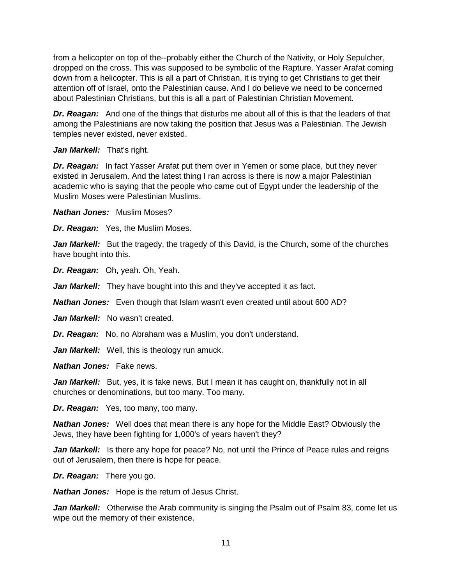from a helicopter on top of the--probably either the Church of the Nativity, or Holy Sepulcher, dropped on the cross. This was supposed to be symbolic of the Rapture. Yasser Arafat coming down from a helicopter. This is all a part of Christian, it is trying to get Christians to get their attention off of Israel, onto the Palestinian cause. And I do believe we need to be concerned about Palestinian Christians, but this is all a part of Palestinian Christian Movement.

*Dr. Reagan:* And one of the things that disturbs me about all of this is that the leaders of that among the Palestinians are now taking the position that Jesus was a Palestinian. The Jewish temples never existed, never existed.

Jan Markell: That's right.

*Dr. Reagan:* In fact Yasser Arafat put them over in Yemen or some place, but they never existed in Jerusalem. And the latest thing I ran across is there is now a major Palestinian academic who is saying that the people who came out of Egypt under the leadership of the Muslim Moses were Palestinian Muslims.

*Nathan Jones:* Muslim Moses?

*Dr. Reagan:* Yes, the Muslim Moses.

*Jan Markell:* But the tragedy, the tragedy of this David, is the Church, some of the churches have bought into this.

*Dr. Reagan:* Oh, yeah. Oh, Yeah.

*Jan Markell:* They have bought into this and they've accepted it as fact.

*Nathan Jones:* Even though that Islam wasn't even created until about 600 AD?

*Jan Markell:* No wasn't created.

*Dr. Reagan:* No, no Abraham was a Muslim, you don't understand.

Jan Markell: Well, this is theology run amuck.

*Nathan Jones:* Fake news.

**Jan Markell:** But, yes, it is fake news. But I mean it has caught on, thankfully not in all churches or denominations, but too many. Too many.

*Dr. Reagan:* Yes, too many, too many.

*Nathan Jones:* Well does that mean there is any hope for the Middle East? Obviously the Jews, they have been fighting for 1,000's of years haven't they?

Jan Markell: Is there any hope for peace? No, not until the Prince of Peace rules and reigns out of Jerusalem, then there is hope for peace.

*Dr. Reagan:* There you go.

*Nathan Jones:* Hope is the return of Jesus Christ.

*Jan Markell:* Otherwise the Arab community is singing the Psalm out of Psalm 83, come let us wipe out the memory of their existence.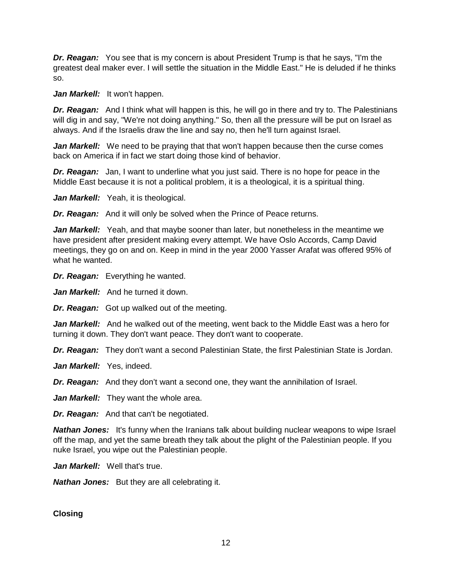*Dr. Reagan:* You see that is my concern is about President Trump is that he says, "I'm the greatest deal maker ever. I will settle the situation in the Middle East." He is deluded if he thinks so.

Jan Markell: It won't happen.

*Dr. Reagan:* And I think what will happen is this, he will go in there and try to. The Palestinians will dig in and say, "We're not doing anything." So, then all the pressure will be put on Israel as always. And if the Israelis draw the line and say no, then he'll turn against Israel.

Jan Markell: We need to be praying that that won't happen because then the curse comes back on America if in fact we start doing those kind of behavior.

*Dr. Reagan:* Jan, I want to underline what you just said. There is no hope for peace in the Middle East because it is not a political problem, it is a theological, it is a spiritual thing.

Jan Markell: Yeah, it is theological.

*Dr. Reagan:* And it will only be solved when the Prince of Peace returns.

*Jan Markell:* Yeah, and that maybe sooner than later, but nonetheless in the meantime we have president after president making every attempt. We have Oslo Accords, Camp David meetings, they go on and on. Keep in mind in the year 2000 Yasser Arafat was offered 95% of what he wanted.

*Dr. Reagan:* Everything he wanted.

*Jan Markell:* And he turned it down.

*Dr. Reagan:* Got up walked out of the meeting.

*Jan Markell:* And he walked out of the meeting, went back to the Middle East was a hero for turning it down. They don't want peace. They don't want to cooperate.

*Dr. Reagan:* They don't want a second Palestinian State, the first Palestinian State is Jordan.

*Jan Markell:* Yes, indeed.

*Dr. Reagan:* And they don't want a second one, they want the annihilation of Israel.

Jan Markell: They want the whole area.

*Dr. Reagan:* And that can't be negotiated.

**Nathan Jones:** It's funny when the Iranians talk about building nuclear weapons to wipe Israel off the map, and yet the same breath they talk about the plight of the Palestinian people. If you nuke Israel, you wipe out the Palestinian people.

Jan Markell: Well that's true.

*Nathan Jones:* But they are all celebrating it.

**Closing**